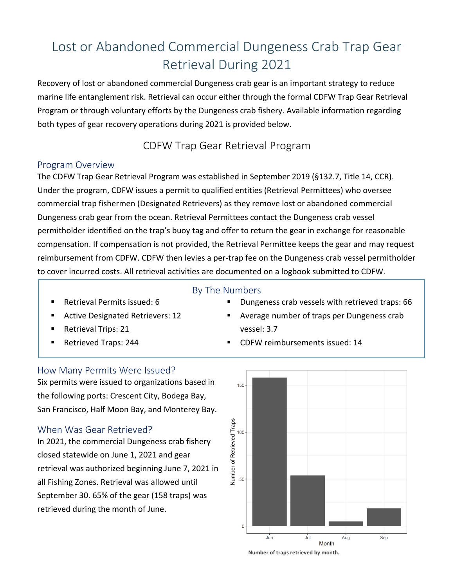# Lost or Abandoned Commercial Dungeness Crab Trap Gear Retrieval During 2021

Recovery of lost or abandoned commercial Dungeness crab gear is an important strategy to reduce marine life entanglement risk. Retrieval can occur either through the formal CDFW Trap Gear Retrieval Program or through voluntary efforts by the Dungeness crab fishery. Available information regarding both types of gear recovery operations during 2021 is provided below.

### CDFW Trap Gear Retrieval Program

#### Program Overview

The CDFW Trap Gear Retrieval Program was established in September 2019 (§132.7, Title 14, CCR). Under the program, CDFW issues a permit to qualified entities (Retrieval Permittees) who oversee commercial trap fishermen (Designated Retrievers) as they remove lost or abandoned commercial Dungeness crab gear from the ocean. Retrieval Permittees contact the Dungeness crab vessel permitholder identified on the trap's buoy tag and offer to return the gear in exchange for reasonable compensation. If compensation is not provided, the Retrieval Permittee keeps the gear and may request reimbursement from CDFW. CDFW then levies a per-trap fee on the Dungeness crab vessel permitholder to cover incurred costs. All retrieval activities are documented on a logbook submitted to CDFW.

#### By The Numbers

- Retrieval Permits issued: 6
- Active Designated Retrievers: 12
- Retrieval Trips: 21
- Retrieved Traps: 244
- Dungeness crab vessels with retrieved traps: 66
- Average number of traps per Dungeness crab vessel: 3.7
- CDFW reimbursements issued: 14

#### How Many Permits Were Issued?

Six permits were issued to organizations based in the following ports: Crescent City, Bodega Bay, San Francisco, Half Moon Bay, and Monterey Bay.

#### When Was Gear Retrieved?

In 2021, the commercial Dungeness crab fishery closed statewide on June 1, 2021 and gear retrieval was authorized beginning June 7, 2021 in all Fishing Zones. Retrieval was allowed until September 30. 65% of the gear (158 traps) was retrieved during the month of June.



**Number of traps retrieved by month.**